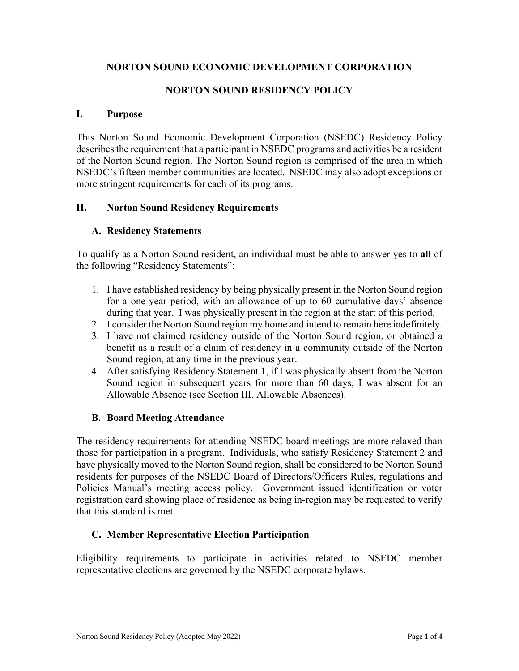## **NORTON SOUND ECONOMIC DEVELOPMENT CORPORATION**

# **NORTON SOUND RESIDENCY POLICY**

#### **I. Purpose**

This Norton Sound Economic Development Corporation (NSEDC) Residency Policy describes the requirement that a participant in NSEDC programs and activities be a resident of the Norton Sound region. The Norton Sound region is comprised of the area in which NSEDC's fifteen member communities are located. NSEDC may also adopt exceptions or more stringent requirements for each of its programs.

### **II. Norton Sound Residency Requirements**

### **A. Residency Statements**

To qualify as a Norton Sound resident, an individual must be able to answer yes to **all** of the following "Residency Statements":

- 1. I have established residency by being physically present in the Norton Sound region for a one-year period, with an allowance of up to 60 cumulative days' absence during that year. I was physically present in the region at the start of this period.
- 2. I consider the Norton Sound region my home and intend to remain here indefinitely.
- 3. I have not claimed residency outside of the Norton Sound region, or obtained a benefit as a result of a claim of residency in a community outside of the Norton Sound region, at any time in the previous year.
- 4. After satisfying Residency Statement 1, if I was physically absent from the Norton Sound region in subsequent years for more than 60 days, I was absent for an Allowable Absence (see Section III. Allowable Absences).

## **B. Board Meeting Attendance**

The residency requirements for attending NSEDC board meetings are more relaxed than those for participation in a program. Individuals, who satisfy Residency Statement 2 and have physically moved to the Norton Sound region, shall be considered to be Norton Sound residents for purposes of the NSEDC Board of Directors/Officers Rules, regulations and Policies Manual's meeting access policy. Government issued identification or voter registration card showing place of residence as being in-region may be requested to verify that this standard is met.

#### **C. Member Representative Election Participation**

Eligibility requirements to participate in activities related to NSEDC member representative elections are governed by the NSEDC corporate bylaws.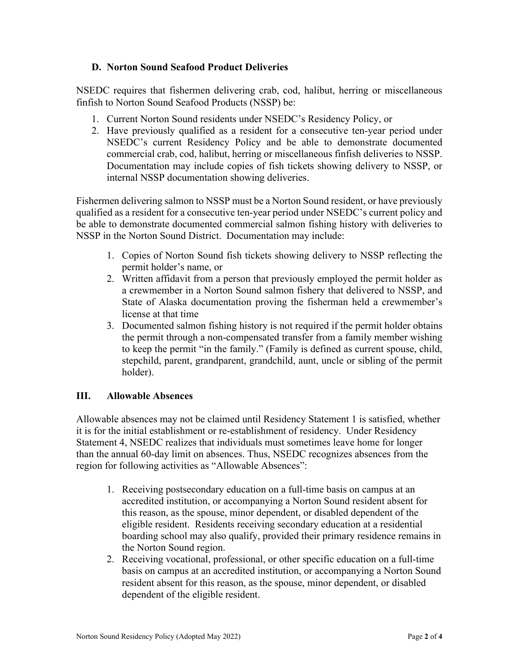### **D. Norton Sound Seafood Product Deliveries**

NSEDC requires that fishermen delivering crab, cod, halibut, herring or miscellaneous finfish to Norton Sound Seafood Products (NSSP) be:

- 1. Current Norton Sound residents under NSEDC's Residency Policy, or
- 2. Have previously qualified as a resident for a consecutive ten-year period under NSEDC's current Residency Policy and be able to demonstrate documented commercial crab, cod, halibut, herring or miscellaneous finfish deliveries to NSSP. Documentation may include copies of fish tickets showing delivery to NSSP, or internal NSSP documentation showing deliveries.

Fishermen delivering salmon to NSSP must be a Norton Sound resident, or have previously qualified as a resident for a consecutive ten-year period under NSEDC's current policy and be able to demonstrate documented commercial salmon fishing history with deliveries to NSSP in the Norton Sound District. Documentation may include:

- 1. Copies of Norton Sound fish tickets showing delivery to NSSP reflecting the permit holder's name, or
- 2. Written affidavit from a person that previously employed the permit holder as a crewmember in a Norton Sound salmon fishery that delivered to NSSP, and State of Alaska documentation proving the fisherman held a crewmember's license at that time
- 3. Documented salmon fishing history is not required if the permit holder obtains the permit through a non-compensated transfer from a family member wishing to keep the permit "in the family." (Family is defined as current spouse, child, stepchild, parent, grandparent, grandchild, aunt, uncle or sibling of the permit holder).

## **III. Allowable Absences**

Allowable absences may not be claimed until Residency Statement 1 is satisfied, whether it is for the initial establishment or re-establishment of residency. Under Residency Statement 4, NSEDC realizes that individuals must sometimes leave home for longer than the annual 60-day limit on absences. Thus, NSEDC recognizes absences from the region for following activities as "Allowable Absences":

- 1. Receiving postsecondary education on a full-time basis on campus at an accredited institution, or accompanying a Norton Sound resident absent for this reason, as the spouse, minor dependent, or disabled dependent of the eligible resident. Residents receiving secondary education at a residential boarding school may also qualify, provided their primary residence remains in the Norton Sound region.
- 2. Receiving vocational, professional, or other specific education on a full-time basis on campus at an accredited institution, or accompanying a Norton Sound resident absent for this reason, as the spouse, minor dependent, or disabled dependent of the eligible resident.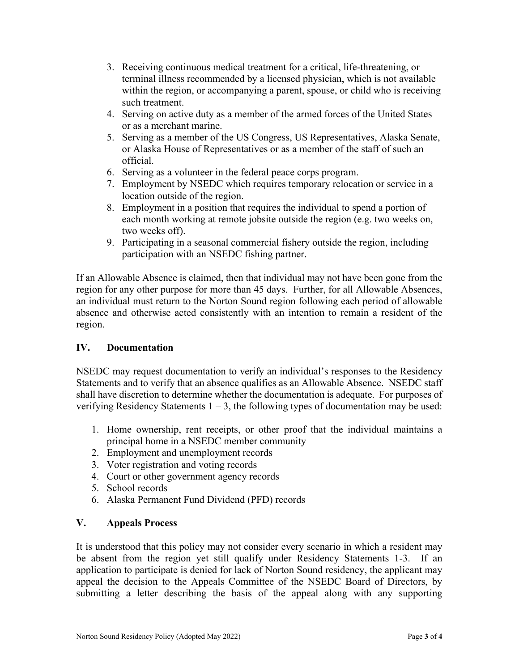- 3. Receiving continuous medical treatment for a critical, life-threatening, or terminal illness recommended by a licensed physician, which is not available within the region, or accompanying a parent, spouse, or child who is receiving such treatment.
- 4. Serving on active duty as a member of the armed forces of the United States or as a merchant marine.
- 5. Serving as a member of the US Congress, US Representatives, Alaska Senate, or Alaska House of Representatives or as a member of the staff of such an official.
- 6. Serving as a volunteer in the federal peace corps program.
- 7. Employment by NSEDC which requires temporary relocation or service in a location outside of the region.
- 8. Employment in a position that requires the individual to spend a portion of each month working at remote jobsite outside the region (e.g. two weeks on, two weeks off).
- 9. Participating in a seasonal commercial fishery outside the region, including participation with an NSEDC fishing partner.

If an Allowable Absence is claimed, then that individual may not have been gone from the region for any other purpose for more than 45 days. Further, for all Allowable Absences, an individual must return to the Norton Sound region following each period of allowable absence and otherwise acted consistently with an intention to remain a resident of the region.

## **IV. Documentation**

NSEDC may request documentation to verify an individual's responses to the Residency Statements and to verify that an absence qualifies as an Allowable Absence. NSEDC staff shall have discretion to determine whether the documentation is adequate. For purposes of verifying Residency Statements  $1 - 3$ , the following types of documentation may be used:

- 1. Home ownership, rent receipts, or other proof that the individual maintains a principal home in a NSEDC member community
- 2. Employment and unemployment records
- 3. Voter registration and voting records
- 4. Court or other government agency records
- 5. School records
- 6. Alaska Permanent Fund Dividend (PFD) records

#### **V. Appeals Process**

It is understood that this policy may not consider every scenario in which a resident may be absent from the region yet still qualify under Residency Statements 1-3. If an application to participate is denied for lack of Norton Sound residency, the applicant may appeal the decision to the Appeals Committee of the NSEDC Board of Directors, by submitting a letter describing the basis of the appeal along with any supporting